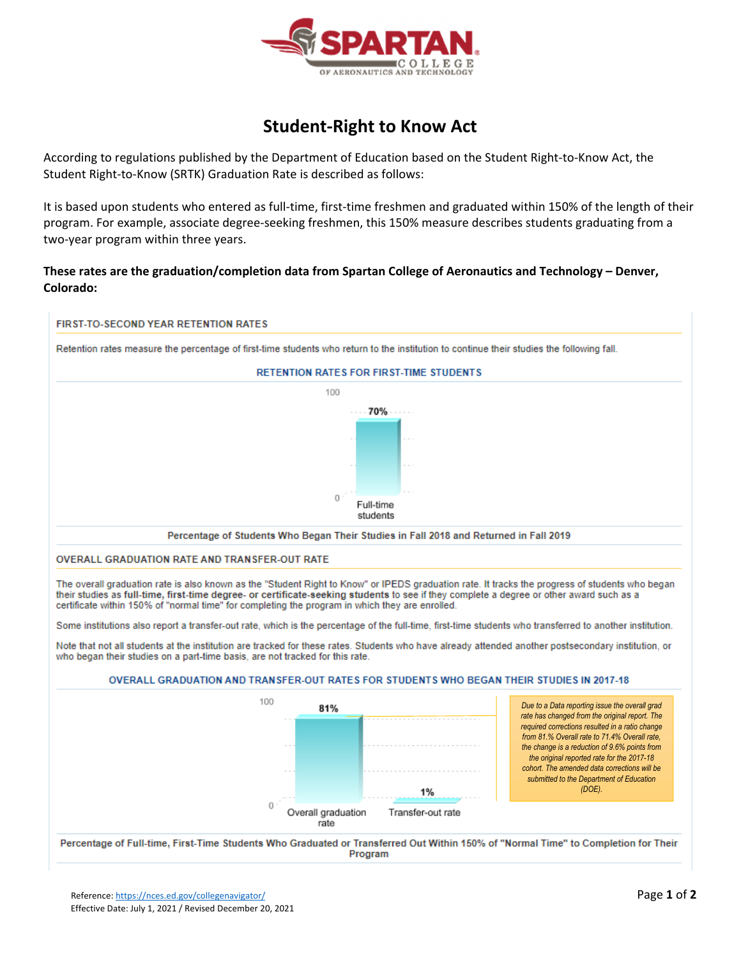

## **Student‐Right to Know Act**

According to regulations published by the Department of Education based on the Student Right‐to‐Know Act, the Student Right‐to‐Know (SRTK) Graduation Rate is described as follows:

It is based upon students who entered as full-time, first-time freshmen and graduated within 150% of the length of their program. For example, associate degree‐seeking freshmen, this 150% measure describes students graduating from a two‐year program within three years.

## **These rates are the graduation/completion data from Spartan College of Aeronautics and Technology – Denver, Colorado:**